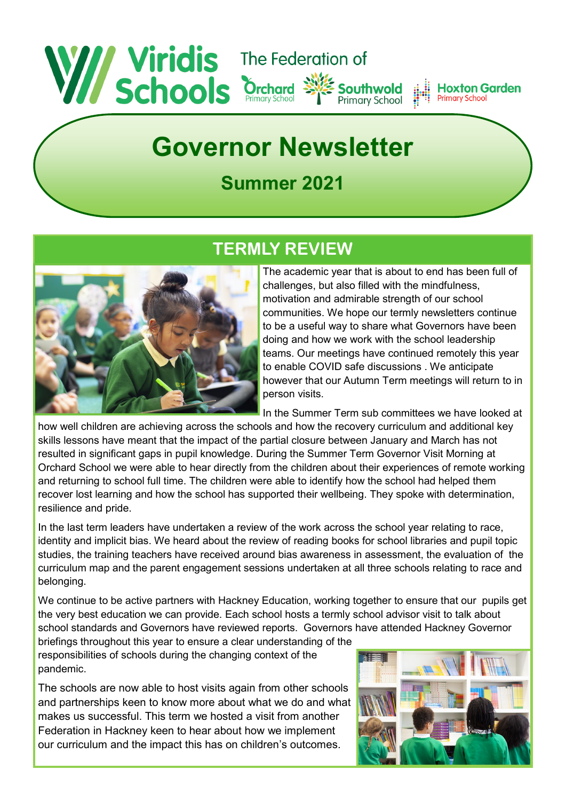#### Wiridis The Federation of **Hoxton Garden Primary School Primary School**

# **Governor Newsletter**

# **Summer 2021**



## **TERMLY REVIEW**

The academic year that is about to end has been full of challenges, but also filled with the mindfulness, motivation and admirable strength of our school communities. We hope our termly newsletters continue to be a useful way to share what Governors have been doing and how we work with the school leadership teams. Our meetings have continued remotely this year to enable COVID safe discussions . We anticipate however that our Autumn Term meetings will return to in person visits.

In the Summer Term sub committees we have looked at

how well children are achieving across the schools and how the recovery curriculum and additional key skills lessons have meant that the impact of the partial closure between January and March has not resulted in significant gaps in pupil knowledge. During the Summer Term Governor Visit Morning at Orchard School we were able to hear directly from the children about their experiences of remote working and returning to school full time. The children were able to identify how the school had helped them recover lost learning and how the school has supported their wellbeing. They spoke with determination, resilience and pride.

In the last term leaders have undertaken a review of the work across the school year relating to race, identity and implicit bias. We heard about the review of reading books for school libraries and pupil topic studies, the training teachers have received around bias awareness in assessment, the evaluation of the curriculum map and the parent engagement sessions undertaken at all three schools relating to race and belonging.

We continue to be active partners with Hackney Education, working together to ensure that our pupils get the very best education we can provide. Each school hosts a termly school advisor visit to talk about school standards and Governors have reviewed reports. Governors have attended Hackney Governor

briefings throughout this year to ensure a clear understanding of the responsibilities of schools during the changing context of the pandemic.

The schools are now able to host visits again from other schools and partnerships keen to know more about what we do and what makes us successful. This term we hosted a visit from another Federation in Hackney keen to hear about how we implement our curriculum and the impact this has on children's outcomes.